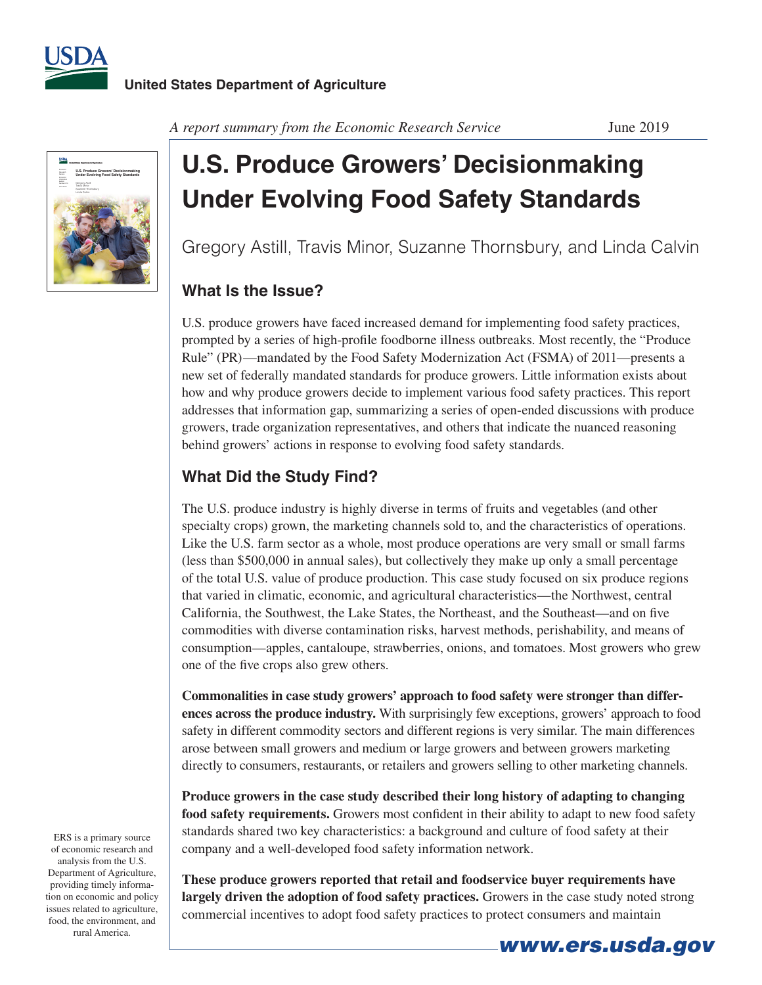



*A report summary from the Economic Research Service* June 2019

## **U.S. Produce Growers' Decisionmaking Under Evolving Food Safety Standards**

Gregory Astill, Travis Minor, Suzanne Thornsbury, and Linda Calvin

## **What Is the Issue?**

U.S. produce growers have faced increased demand for implementing food safety practices, prompted by a series of high-profile foodborne illness outbreaks. Most recently, the "Produce Rule" (PR)—mandated by the Food Safety Modernization Act (FSMA) of 2011—presents a new set of federally mandated standards for produce growers. Little information exists about how and why produce growers decide to implement various food safety practices. This report addresses that information gap, summarizing a series of open-ended discussions with produce growers, trade organization representatives, and others that indicate the nuanced reasoning behind growers' actions in response to evolving food safety standards.

## **What Did the Study Find?**

The U.S. produce industry is highly diverse in terms of fruits and vegetables (and other specialty crops) grown, the marketing channels sold to, and the characteristics of operations. Like the U.S. farm sector as a whole, most produce operations are very small or small farms (less than \$500,000 in annual sales), but collectively they make up only a small percentage of the total U.S. value of produce production. This case study focused on six produce regions that varied in climatic, economic, and agricultural characteristics—the Northwest, central California, the Southwest, the Lake States, the Northeast, and the Southeast—and on five commodities with diverse contamination risks, harvest methods, perishability, and means of consumption—apples, cantaloupe, strawberries, onions, and tomatoes. Most growers who grew one of the five crops also grew others.

**Commonalities in case study growers' approach to food safety were stronger than differences across the produce industry.** With surprisingly few exceptions, growers' approach to food safety in different commodity sectors and different regions is very similar. The main differences arose between small growers and medium or large growers and between growers marketing directly to consumers, restaurants, or retailers and growers selling to other marketing channels.

**Produce growers in the case study described their long history of adapting to changing food safety requirements.** Growers most confident in their ability to adapt to new food safety standards shared two key characteristics: a background and culture of food safety at their company and a well-developed food safety information network.

**These produce growers reported that retail and foodservice buyer requirements have largely driven the adoption of food safety practices.** Growers in the case study noted strong commercial incentives to adopt food safety practices to protect consumers and maintain

ERS is a primary source of economic research and analysis from the U.S. Department of Agriculture, providing timely information on economic and policy issues related to agriculture, food, the environment, and rural America.